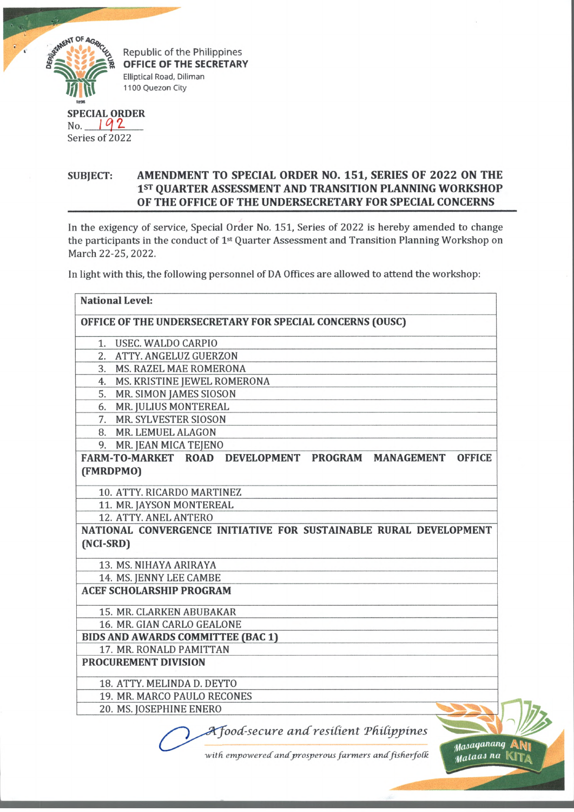

Republic of the Philippines **OFFICE OF THE SECRETARY** Elliptical Road, Diliman 1100 Quezon City

## **SPECIAL ORDER** No. *I Q[\*L*

Series of 2022

## **SUBJECT: AMENDMENT TO SPECIAL ORDER NO. 151, SERIES OF 2022 ON THE 1st QUARTER ASSESSMENT AND TRANSITION PLANNING WORKSHOP OF THE OFFICE OF THE UNDERSECRETARY FOR SPECIAL CONCERNS**

In the exigency of service, Special Order No. 151, Series of 2022 is hereby amended to change the participants in the conduct of 1st Quarter Assessment and Transition Planning Workshop on March 22-25, 2022.

In light with this, the following personnel of DA Offices are allowed to attend the workshop:

| <b>National Level:</b>                                            |                                                      |  |                                |
|-------------------------------------------------------------------|------------------------------------------------------|--|--------------------------------|
| OFFICE OF THE UNDERSECRETARY FOR SPECIAL CONCERNS (OUSC)          |                                                      |  |                                |
| 1. USEC. WALDO CARPIO                                             |                                                      |  |                                |
| 2. ATTY. ANGELUZ GUERZON                                          |                                                      |  |                                |
| 3. MS. RAZEL MAE ROMERONA                                         |                                                      |  |                                |
| 4. MS. KRISTINE JEWEL ROMERONA                                    |                                                      |  |                                |
| 5. MR. SIMON JAMES SIOSON                                         |                                                      |  |                                |
| 6. MR. JULIUS MONTEREAL                                           |                                                      |  |                                |
| 7. MR. SYLVESTER SIOSON                                           |                                                      |  |                                |
| 8. MR. LEMUEL ALAGON                                              |                                                      |  |                                |
| 9. MR. JEAN MICA TEJENO                                           |                                                      |  |                                |
| FARM-TO-MARKET ROAD DEVELOPMENT PROGRAM MANAGEMENT                |                                                      |  | <b>OFFICE</b>                  |
| (FMRDPMO)                                                         |                                                      |  |                                |
| 10. ATTY. RICARDO MARTINEZ                                        |                                                      |  |                                |
| 11. MR. JAYSON MONTEREAL                                          |                                                      |  |                                |
| 12. ATTY. ANEL ANTERO                                             |                                                      |  |                                |
| NATIONAL CONVERGENCE INITIATIVE FOR SUSTAINABLE RURAL DEVELOPMENT |                                                      |  |                                |
| (NCI-SRD)                                                         |                                                      |  |                                |
| 13. MS. NIHAYA ARIRAYA                                            |                                                      |  |                                |
| 14. MS. JENNY LEE CAMBE                                           |                                                      |  |                                |
| <b>ACEF SCHOLARSHIP PROGRAM</b>                                   |                                                      |  |                                |
|                                                                   |                                                      |  |                                |
| <b>15. MR. CLARKEN ABUBAKAR</b>                                   |                                                      |  |                                |
| 16. MR. GIAN CARLO GEALONE                                        |                                                      |  |                                |
| <b>BIDS AND AWARDS COMMITTEE (BAC 1)</b>                          |                                                      |  |                                |
| 17. MR. RONALD PAMITTAN                                           |                                                      |  |                                |
| PROCUREMENT DIVISION                                              |                                                      |  |                                |
| 18. ATTY. MELINDA D. DEYTO                                        |                                                      |  |                                |
| 19. MR. MARCO PAULO RECONES                                       |                                                      |  |                                |
| 20. MS. JOSEPHINE ENERO                                           |                                                      |  |                                |
|                                                                   | A food-secure and resilient Philippines              |  |                                |
|                                                                   | with empowered and prosperous farmers and fisherfolk |  | Masaganang ANI<br>Malaas na Kr |